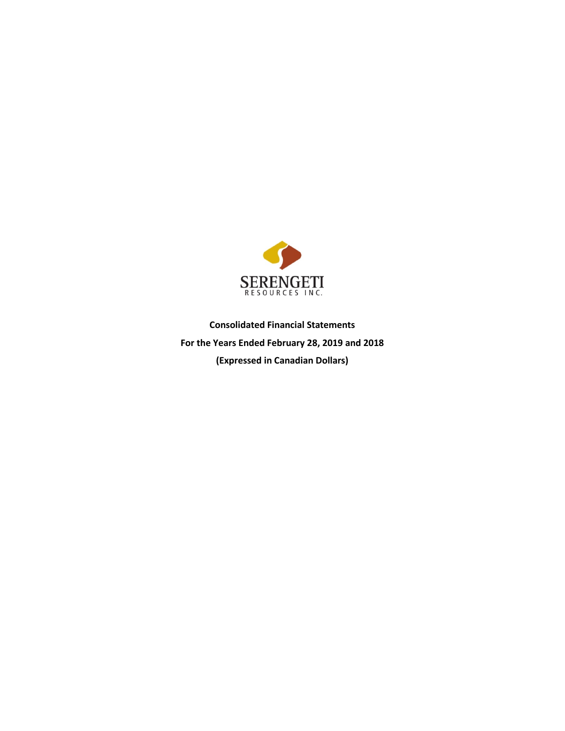

**Consolidated Financial Statements For the Years Ended February 28, 2019 and 2018 (Expressed in Canadian Dollars)**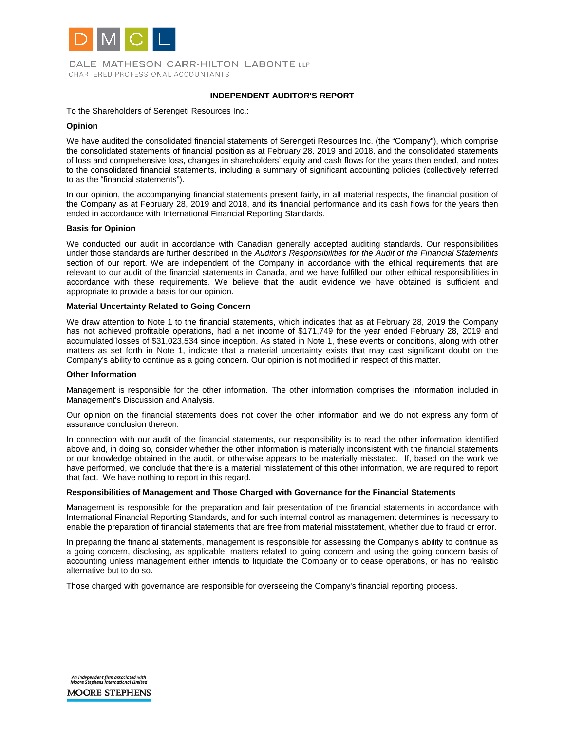

DALE MATHESON CARR-HILTON LABONTE LLP CHARTERED PROFESSIONAL ACCOUNTANTS

#### **INDEPENDENT AUDITOR'S REPORT**

To the Shareholders of Serengeti Resources Inc.:

### **Opinion**

We have audited the consolidated financial statements of Serengeti Resources Inc. (the "Company"), which comprise the consolidated statements of financial position as at February 28, 2019 and 2018, and the consolidated statements of loss and comprehensive loss, changes in shareholders' equity and cash flows for the years then ended, and notes to the consolidated financial statements, including a summary of significant accounting policies (collectively referred to as the "financial statements").

In our opinion, the accompanying financial statements present fairly, in all material respects, the financial position of the Company as at February 28, 2019 and 2018, and its financial performance and its cash flows for the years then ended in accordance with International Financial Reporting Standards.

#### **Basis for Opinion**

We conducted our audit in accordance with Canadian generally accepted auditing standards. Our responsibilities under those standards are further described in the *Auditor's Responsibilities for the Audit of the Financial Statements* section of our report. We are independent of the Company in accordance with the ethical requirements that are relevant to our audit of the financial statements in Canada, and we have fulfilled our other ethical responsibilities in accordance with these requirements. We believe that the audit evidence we have obtained is sufficient and appropriate to provide a basis for our opinion.

#### **Material Uncertainty Related to Going Concern**

We draw attention to Note 1 to the financial statements, which indicates that as at February 28, 2019 the Company has not achieved profitable operations, had a net income of \$171,749 for the year ended February 28, 2019 and accumulated losses of \$31,023,534 since inception. As stated in Note 1, these events or conditions, along with other matters as set forth in Note 1, indicate that a material uncertainty exists that may cast significant doubt on the Company's ability to continue as a going concern. Our opinion is not modified in respect of this matter.

#### **Other Information**

Management is responsible for the other information. The other information comprises the information included in Management's Discussion and Analysis.

Our opinion on the financial statements does not cover the other information and we do not express any form of assurance conclusion thereon.

In connection with our audit of the financial statements, our responsibility is to read the other information identified above and, in doing so, consider whether the other information is materially inconsistent with the financial statements or our knowledge obtained in the audit, or otherwise appears to be materially misstated. If, based on the work we have performed, we conclude that there is a material misstatement of this other information, we are required to report that fact. We have nothing to report in this regard.

#### **Responsibilities of Management and Those Charged with Governance for the Financial Statements**

Management is responsible for the preparation and fair presentation of the financial statements in accordance with International Financial Reporting Standards, and for such internal control as management determines is necessary to enable the preparation of financial statements that are free from material misstatement, whether due to fraud or error.

In preparing the financial statements, management is responsible for assessing the Company's ability to continue as a going concern, disclosing, as applicable, matters related to going concern and using the going concern basis of accounting unless management either intends to liquidate the Company or to cease operations, or has no realistic alternative but to do so.

Those charged with governance are responsible for overseeing the Company's financial reporting process.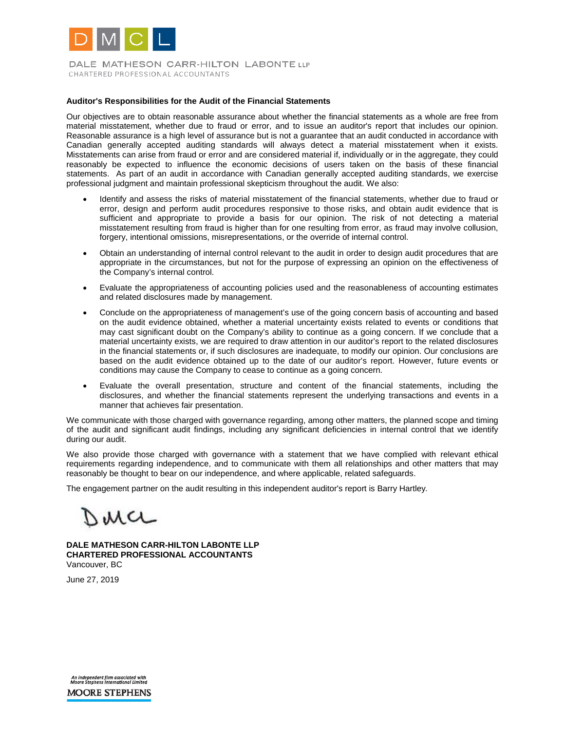

DALE MATHESON CARR-HILTON LABONTE LLP CHARTERED PROFESSIONAL ACCOUNTANTS

#### **Auditor's Responsibilities for the Audit of the Financial Statements**

Our objectives are to obtain reasonable assurance about whether the financial statements as a whole are free from material misstatement, whether due to fraud or error, and to issue an auditor's report that includes our opinion. Reasonable assurance is a high level of assurance but is not a guarantee that an audit conducted in accordance with Canadian generally accepted auditing standards will always detect a material misstatement when it exists. Misstatements can arise from fraud or error and are considered material if, individually or in the aggregate, they could reasonably be expected to influence the economic decisions of users taken on the basis of these financial statements. As part of an audit in accordance with Canadian generally accepted auditing standards, we exercise professional judgment and maintain professional skepticism throughout the audit. We also:

- Identify and assess the risks of material misstatement of the financial statements, whether due to fraud or error, design and perform audit procedures responsive to those risks, and obtain audit evidence that is sufficient and appropriate to provide a basis for our opinion. The risk of not detecting a material misstatement resulting from fraud is higher than for one resulting from error, as fraud may involve collusion, forgery, intentional omissions, misrepresentations, or the override of internal control.
- Obtain an understanding of internal control relevant to the audit in order to design audit procedures that are appropriate in the circumstances, but not for the purpose of expressing an opinion on the effectiveness of the Company's internal control.
- Evaluate the appropriateness of accounting policies used and the reasonableness of accounting estimates and related disclosures made by management.
- Conclude on the appropriateness of management's use of the going concern basis of accounting and based on the audit evidence obtained, whether a material uncertainty exists related to events or conditions that may cast significant doubt on the Company's ability to continue as a going concern. If we conclude that a material uncertainty exists, we are required to draw attention in our auditor's report to the related disclosures in the financial statements or, if such disclosures are inadequate, to modify our opinion. Our conclusions are based on the audit evidence obtained up to the date of our auditor's report. However, future events or conditions may cause the Company to cease to continue as a going concern.
- Evaluate the overall presentation, structure and content of the financial statements, including the disclosures, and whether the financial statements represent the underlying transactions and events in a manner that achieves fair presentation.

We communicate with those charged with governance regarding, among other matters, the planned scope and timing of the audit and significant audit findings, including any significant deficiencies in internal control that we identify during our audit.

We also provide those charged with governance with a statement that we have complied with relevant ethical requirements regarding independence, and to communicate with them all relationships and other matters that may reasonably be thought to bear on our independence, and where applicable, related safeguards.

The engagement partner on the audit resulting in this independent auditor's report is Barry Hartley*.*

Ma

**DALE MATHESON CARR-HILTON LABONTE LLP CHARTERED PROFESSIONAL ACCOUNTANTS** Vancouver, BC

June 27, 2019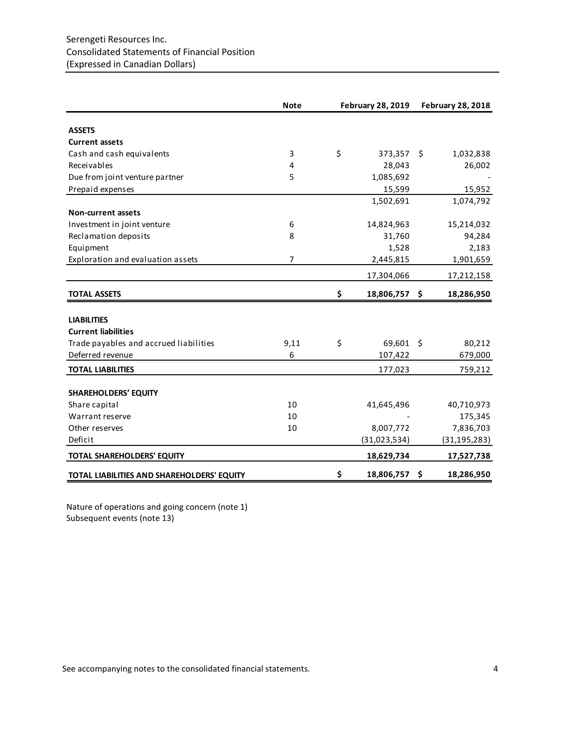|                                            | <b>Note</b> | <b>February 28, 2019</b> |              |     | <b>February 28, 2018</b> |
|--------------------------------------------|-------------|--------------------------|--------------|-----|--------------------------|
|                                            |             |                          |              |     |                          |
| <b>ASSETS</b>                              |             |                          |              |     |                          |
| <b>Current assets</b>                      |             |                          |              |     |                          |
| Cash and cash equivalents                  | 3           | \$                       | 373,357      | Ŝ.  | 1,032,838                |
| Receivables                                | 4           |                          | 28,043       |     | 26,002                   |
| Due from joint venture partner             | 5           |                          | 1,085,692    |     |                          |
| Prepaid expenses                           |             |                          | 15,599       |     | 15,952                   |
|                                            |             |                          | 1,502,691    |     | 1,074,792                |
| <b>Non-current assets</b>                  |             |                          |              |     |                          |
| Investment in joint venture                | 6           |                          | 14,824,963   |     | 15,214,032               |
| Reclamation deposits                       | 8           |                          | 31,760       |     | 94,284                   |
| Equipment                                  |             |                          | 1,528        |     | 2,183                    |
| Exploration and evaluation assets          | 7           |                          | 2,445,815    |     | 1,901,659                |
|                                            |             |                          | 17,304,066   |     | 17,212,158               |
| <b>TOTAL ASSETS</b>                        |             | \$                       | 18,806,757   | -\$ | 18,286,950               |
|                                            |             |                          |              |     |                          |
| <b>LIABILITIES</b>                         |             |                          |              |     |                          |
| <b>Current liabilities</b>                 |             |                          |              |     |                          |
| Trade payables and accrued liabilities     | 9,11        | \$                       | 69,601 \$    |     | 80,212                   |
| Deferred revenue                           | 6           |                          | 107,422      |     | 679,000                  |
| <b>TOTAL LIABILITIES</b>                   |             |                          | 177,023      |     | 759,212                  |
|                                            |             |                          |              |     |                          |
| <b>SHAREHOLDERS' EQUITY</b>                |             |                          |              |     |                          |
| Share capital                              | 10          |                          | 41,645,496   |     | 40,710,973               |
| Warrant reserve                            | 10          |                          |              |     | 175,345                  |
| Other reserves                             | 10          |                          | 8,007,772    |     | 7,836,703                |
| Deficit                                    |             |                          | (31,023,534) |     | (31, 195, 283)           |
| TOTAL SHAREHOLDERS' EQUITY                 |             |                          | 18,629,734   |     | 17,527,738               |
| TOTAL LIABILITIES AND SHAREHOLDERS' EQUITY |             | \$                       | 18,806,757   | \$  | 18,286,950               |

Nature of operations and going concern (note 1) Subsequent events (note 13)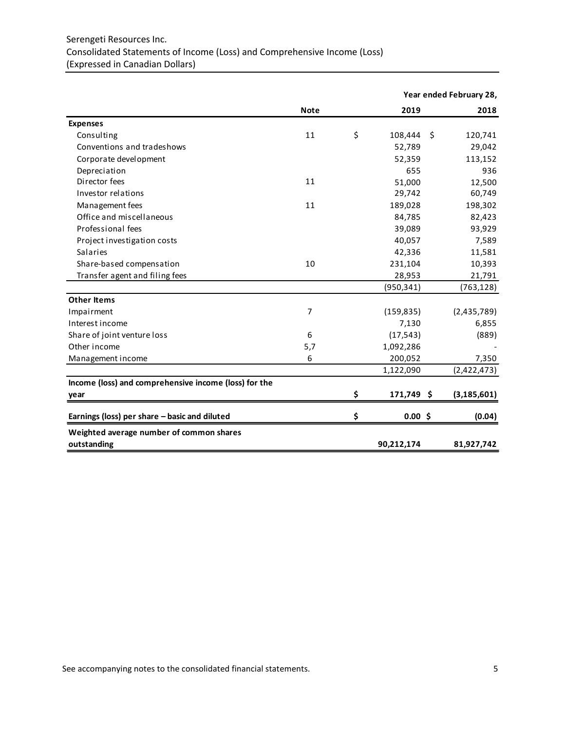# Serengeti Resources Inc. Consolidated Statements of Income (Loss) and Comprehensive Income (Loss) (Expressed in Canadian Dollars)

|                                                       |                |                  | Year ended February 28, |
|-------------------------------------------------------|----------------|------------------|-------------------------|
|                                                       | <b>Note</b>    | 2019             | 2018                    |
| <b>Expenses</b>                                       |                |                  |                         |
| Consulting                                            | 11             | \$<br>108,444    | \$<br>120,741           |
| Conventions and tradeshows                            |                | 52,789           | 29,042                  |
| Corporate development                                 |                | 52,359           | 113,152                 |
| Depreciation                                          |                | 655              | 936                     |
| Director fees                                         | 11             | 51,000           | 12,500                  |
| Investor relations                                    |                | 29,742           | 60,749                  |
| Management fees                                       | 11             | 189,028          | 198,302                 |
| Office and miscellaneous                              |                | 84,785           | 82,423                  |
| Professional fees                                     |                | 39,089           | 93,929                  |
| Project investigation costs                           |                | 40,057           | 7,589                   |
| Salaries                                              |                | 42,336           | 11,581                  |
| Share-based compensation                              | 10             | 231,104          | 10,393                  |
| Transfer agent and filing fees                        |                | 28,953           | 21,791                  |
|                                                       |                | (950, 341)       | (763, 128)              |
| <b>Other Items</b>                                    |                |                  |                         |
| Impairment                                            | $\overline{7}$ | (159, 835)       | (2,435,789)             |
| Interest income                                       |                | 7,130            | 6,855                   |
| Share of joint venture loss                           | 6              | (17, 543)        | (889)                   |
| Other income                                          | 5,7            | 1,092,286        |                         |
| Management income                                     | 6              | 200,052          | 7,350                   |
|                                                       |                | 1,122,090        | (2,422,473)             |
| Income (loss) and comprehensive income (loss) for the |                |                  |                         |
| year                                                  |                | \$<br>171,749 \$ | (3, 185, 601)           |
| Earnings (loss) per share - basic and diluted         |                | \$<br>0.00%      | (0.04)                  |
| Weighted average number of common shares              |                |                  |                         |
| outstanding                                           |                | 90,212,174       | 81,927,742              |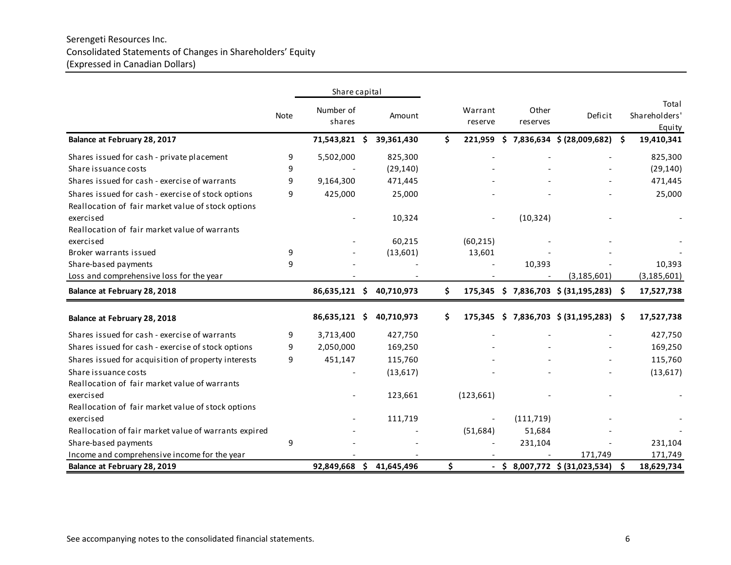# Serengeti Resources Inc. Consolidated Statements of Changes in Shareholders' Equity (Expressed in Canadian Dollars)

|                                                       | Share capital |                     |              |            |                    |                   |                                         |    |                                  |
|-------------------------------------------------------|---------------|---------------------|--------------|------------|--------------------|-------------------|-----------------------------------------|----|----------------------------------|
|                                                       | <b>Note</b>   | Number of<br>shares |              | Amount     | Warrant<br>reserve | Other<br>reserves | Deficit                                 |    | Total<br>Shareholders'<br>Equity |
| Balance at February 28, 2017                          |               | 71,543,821          | Ŝ.           | 39,361,430 | \$<br>221,959      |                   | $$7,836,634$ $$ (28,009,682)$           | -Ś | 19,410,341                       |
| Shares issued for cash - private placement            | 9             | 5,502,000           |              | 825,300    |                    |                   |                                         |    | 825,300                          |
| Share issuance costs                                  | 9             |                     |              | (29, 140)  |                    |                   |                                         |    | (29, 140)                        |
| Shares issued for cash - exercise of warrants         | 9             | 9,164,300           |              | 471,445    |                    |                   |                                         |    | 471,445                          |
| Shares issued for cash - exercise of stock options    | 9             | 425,000             |              | 25,000     |                    |                   |                                         |    | 25,000                           |
| Reallocation of fair market value of stock options    |               |                     |              |            |                    |                   |                                         |    |                                  |
| exercised                                             |               |                     |              | 10,324     |                    | (10, 324)         |                                         |    |                                  |
| Reallocation of fair market value of warrants         |               |                     |              |            |                    |                   |                                         |    |                                  |
| exercised                                             |               |                     |              | 60,215     | (60, 215)          |                   |                                         |    |                                  |
| Broker warrants issued                                | 9             |                     |              | (13,601)   | 13,601             |                   |                                         |    |                                  |
| Share-based payments                                  | 9             |                     |              |            |                    | 10,393            |                                         |    | 10,393                           |
| Loss and comprehensive loss for the year              |               |                     |              |            |                    |                   | (3, 185, 601)                           |    | (3, 185, 601)                    |
| Balance at February 28, 2018                          |               | 86,635,121 \$       |              | 40,710,973 | \$                 |                   | 175,345 \$ 7,836,703 \$ (31,195,283) \$ |    | 17,527,738                       |
| Balance at February 28, 2018                          |               | 86,635,121 \$       |              | 40,710,973 | \$                 |                   | 175,345 \$ 7,836,703 \$ (31,195,283) \$ |    | 17,527,738                       |
| Shares issued for cash - exercise of warrants         | 9             | 3,713,400           |              | 427,750    |                    |                   |                                         |    | 427,750                          |
| Shares issued for cash - exercise of stock options    | 9             | 2,050,000           |              | 169,250    |                    |                   |                                         |    | 169,250                          |
| Shares issued for acquisition of property interests   | 9             | 451,147             |              | 115,760    |                    |                   |                                         |    | 115,760                          |
| Share issuance costs                                  |               |                     |              | (13, 617)  |                    |                   |                                         |    | (13,617)                         |
| Reallocation of fair market value of warrants         |               |                     |              |            |                    |                   |                                         |    |                                  |
| exercised                                             |               |                     |              | 123,661    | (123, 661)         |                   |                                         |    |                                  |
| Reallocation of fair market value of stock options    |               |                     |              |            |                    |                   |                                         |    |                                  |
| exercised                                             |               |                     |              | 111,719    |                    | (111, 719)        |                                         |    |                                  |
| Reallocation of fair market value of warrants expired |               |                     |              |            | (51, 684)          | 51,684            |                                         |    |                                  |
| Share-based payments                                  | 9             |                     |              |            |                    | 231,104           |                                         |    | 231,104                          |
| Income and comprehensive income for the year          |               |                     |              |            |                    |                   | 171,749                                 |    | 171,749                          |
| Balance at February 28, 2019                          |               | 92,849,668          | $\mathsf{S}$ | 41,645,496 | \$                 |                   | $-$ \$ 8,007,772 \$ (31,023,534)        | Ŝ. | 18,629,734                       |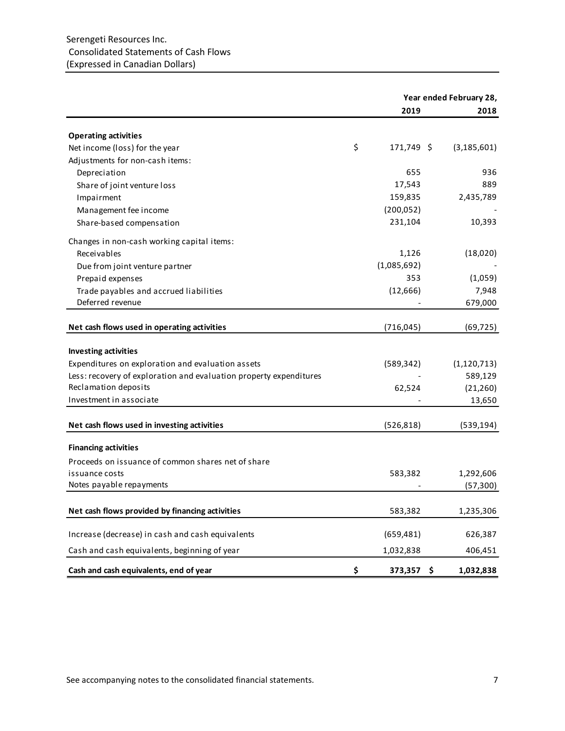# Serengeti Resources Inc. Consolidated Statements of Cash Flows (Expressed in Canadian Dollars)

|                                                                    | Year ended February 28, |             |  |               |  |
|--------------------------------------------------------------------|-------------------------|-------------|--|---------------|--|
|                                                                    |                         | 2019        |  | 2018          |  |
| <b>Operating activities</b>                                        |                         |             |  |               |  |
| Net income (loss) for the year                                     | \$                      | 171,749 \$  |  | (3, 185, 601) |  |
| Adjustments for non-cash items:                                    |                         |             |  |               |  |
| Depreciation                                                       |                         | 655         |  | 936           |  |
| Share of joint venture loss                                        |                         | 17,543      |  | 889           |  |
| Impairment                                                         |                         | 159,835     |  | 2,435,789     |  |
| Management fee income                                              |                         | (200, 052)  |  |               |  |
| Share-based compensation                                           |                         | 231,104     |  | 10,393        |  |
| Changes in non-cash working capital items:                         |                         |             |  |               |  |
| Receivables                                                        |                         | 1,126       |  | (18,020)      |  |
| Due from joint venture partner                                     |                         | (1,085,692) |  |               |  |
| Prepaid expenses                                                   |                         | 353         |  | (1,059)       |  |
| Trade payables and accrued liabilities                             |                         | (12,666)    |  | 7,948         |  |
| Deferred revenue                                                   |                         |             |  | 679,000       |  |
|                                                                    |                         |             |  |               |  |
| Net cash flows used in operating activities                        |                         | (716, 045)  |  | (69, 725)     |  |
| <b>Investing activities</b>                                        |                         |             |  |               |  |
| Expenditures on exploration and evaluation assets                  |                         | (589, 342)  |  | (1, 120, 713) |  |
| Less: recovery of exploration and evaluation property expenditures |                         |             |  | 589,129       |  |
| Reclamation deposits                                               |                         | 62,524      |  | (21, 260)     |  |
| Investment in associate                                            |                         |             |  | 13,650        |  |
| Net cash flows used in investing activities                        |                         | (526, 818)  |  |               |  |
|                                                                    |                         |             |  | (539, 194)    |  |
| <b>Financing activities</b>                                        |                         |             |  |               |  |
| Proceeds on issuance of common shares net of share                 |                         |             |  |               |  |
| issuance costs                                                     |                         | 583,382     |  | 1,292,606     |  |
| Notes payable repayments                                           |                         |             |  | (57, 300)     |  |
|                                                                    |                         |             |  |               |  |
| Net cash flows provided by financing activities                    |                         | 583,382     |  | 1,235,306     |  |
| Increase (decrease) in cash and cash equivalents                   |                         | (659, 481)  |  | 626,387       |  |
| Cash and cash equivalents, beginning of year                       |                         | 1,032,838   |  | 406,451       |  |
| Cash and cash equivalents, end of year                             | \$                      | 373,357 \$  |  | 1,032,838     |  |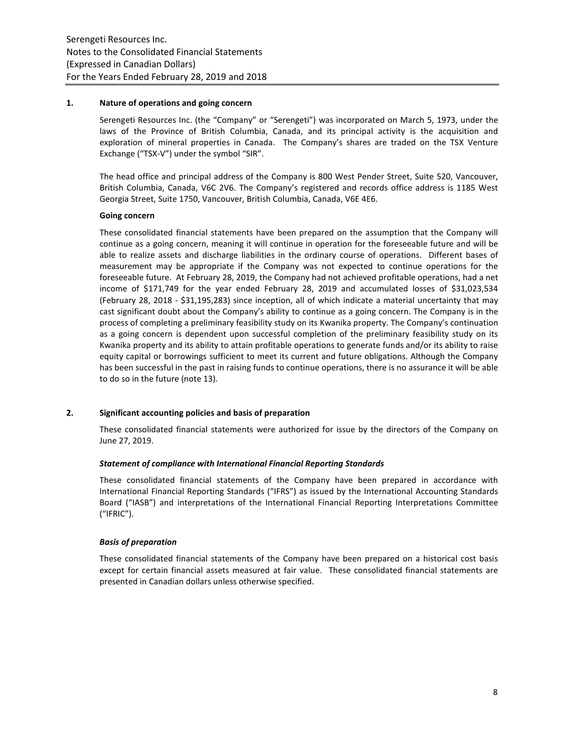### **1. Nature of operations and going concern**

Serengeti Resources Inc. (the "Company" or "Serengeti") was incorporated on March 5, 1973, under the laws of the Province of British Columbia, Canada, and its principal activity is the acquisition and exploration of mineral properties in Canada. The Company's shares are traded on the TSX Venture Exchange ("TSX-V") under the symbol "SIR".

The head office and principal address of the Company is 800 West Pender Street, Suite 520, Vancouver, British Columbia, Canada, V6C 2V6. The Company's registered and records office address is 1185 West Georgia Street, Suite 1750, Vancouver, British Columbia, Canada, V6E 4E6.

# **Going concern**

These consolidated financial statements have been prepared on the assumption that the Company will continue as a going concern, meaning it will continue in operation for the foreseeable future and will be able to realize assets and discharge liabilities in the ordinary course of operations. Different bases of measurement may be appropriate if the Company was not expected to continue operations for the foreseeable future. At February 28, 2019, the Company had not achieved profitable operations, had a net income of \$171,749 for the year ended February 28, 2019 and accumulated losses of \$31,023,534 (February 28, 2018 - \$31,195,283) since inception, all of which indicate a material uncertainty that may cast significant doubt about the Company's ability to continue as a going concern. The Company is in the process of completing a preliminary feasibility study on its Kwanika property. The Company's continuation as a going concern is dependent upon successful completion of the preliminary feasibility study on its Kwanika property and its ability to attain profitable operations to generate funds and/or its ability to raise equity capital or borrowings sufficient to meet its current and future obligations. Although the Company has been successful in the past in raising funds to continue operations, there is no assurance it will be able to do so in the future (note 13).

### **2. Significant accounting policies and basis of preparation**

These consolidated financial statements were authorized for issue by the directors of the Company on June 27, 2019.

#### *Statement of compliance with International Financial Reporting Standards*

These consolidated financial statements of the Company have been prepared in accordance with International Financial Reporting Standards ("IFRS") as issued by the International Accounting Standards Board ("IASB") and interpretations of the International Financial Reporting Interpretations Committee ("IFRIC").

#### *Basis of preparation*

These consolidated financial statements of the Company have been prepared on a historical cost basis except for certain financial assets measured at fair value. These consolidated financial statements are presented in Canadian dollars unless otherwise specified.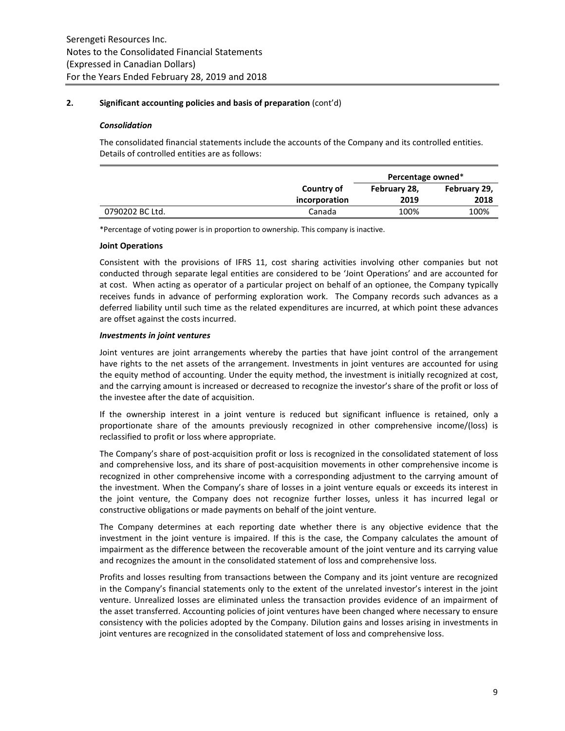### *Consolidation*

The consolidated financial statements include the accounts of the Company and its controlled entities. Details of controlled entities are as follows:

|                 |               | Percentage owned* |              |  |  |
|-----------------|---------------|-------------------|--------------|--|--|
|                 | Country of    | February 28,      | February 29, |  |  |
|                 | incorporation | 2019              | 2018         |  |  |
| 0790202 BC Ltd. | Canada        | 100%              | 100%         |  |  |

\*Percentage of voting power is in proportion to ownership. This company is inactive.

#### **Joint Operations**

Consistent with the provisions of IFRS 11, cost sharing activities involving other companies but not conducted through separate legal entities are considered to be 'Joint Operations' and are accounted for at cost. When acting as operator of a particular project on behalf of an optionee, the Company typically receives funds in advance of performing exploration work. The Company records such advances as a deferred liability until such time as the related expenditures are incurred, at which point these advances are offset against the costs incurred.

#### *Investments in joint ventures*

Joint ventures are joint arrangements whereby the parties that have joint control of the arrangement have rights to the net assets of the arrangement. Investments in joint ventures are accounted for using the equity method of accounting. Under the equity method, the investment is initially recognized at cost, and the carrying amount is increased or decreased to recognize the investor's share of the profit or loss of the investee after the date of acquisition.

If the ownership interest in a joint venture is reduced but significant influence is retained, only a proportionate share of the amounts previously recognized in other comprehensive income/(loss) is reclassified to profit or loss where appropriate.

The Company's share of post-acquisition profit or loss is recognized in the consolidated statement of loss and comprehensive loss, and its share of post-acquisition movements in other comprehensive income is recognized in other comprehensive income with a corresponding adjustment to the carrying amount of the investment. When the Company's share of losses in a joint venture equals or exceeds its interest in the joint venture, the Company does not recognize further losses, unless it has incurred legal or constructive obligations or made payments on behalf of the joint venture.

The Company determines at each reporting date whether there is any objective evidence that the investment in the joint venture is impaired. If this is the case, the Company calculates the amount of impairment as the difference between the recoverable amount of the joint venture and its carrying value and recognizes the amount in the consolidated statement of loss and comprehensive loss.

Profits and losses resulting from transactions between the Company and its joint venture are recognized in the Company's financial statements only to the extent of the unrelated investor's interest in the joint venture. Unrealized losses are eliminated unless the transaction provides evidence of an impairment of the asset transferred. Accounting policies of joint ventures have been changed where necessary to ensure consistency with the policies adopted by the Company. Dilution gains and losses arising in investments in joint ventures are recognized in the consolidated statement of loss and comprehensive loss.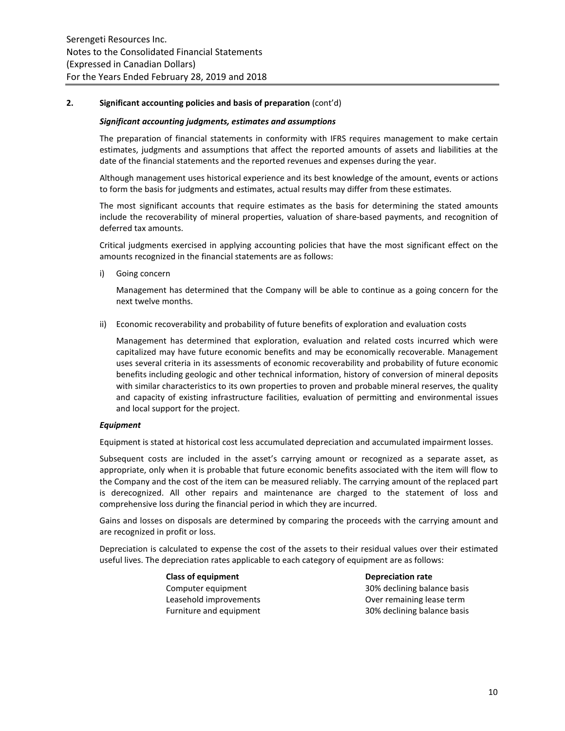#### *Significant accounting judgments, estimates and assumptions*

The preparation of financial statements in conformity with IFRS requires management to make certain estimates, judgments and assumptions that affect the reported amounts of assets and liabilities at the date of the financial statements and the reported revenues and expenses during the year.

Although management uses historical experience and its best knowledge of the amount, events or actions to form the basis for judgments and estimates, actual results may differ from these estimates.

The most significant accounts that require estimates as the basis for determining the stated amounts include the recoverability of mineral properties, valuation of share-based payments, and recognition of deferred tax amounts.

Critical judgments exercised in applying accounting policies that have the most significant effect on the amounts recognized in the financial statements are as follows:

i) Going concern

Management has determined that the Company will be able to continue as a going concern for the next twelve months.

ii) Economic recoverability and probability of future benefits of exploration and evaluation costs

Management has determined that exploration, evaluation and related costs incurred which were capitalized may have future economic benefits and may be economically recoverable. Management uses several criteria in its assessments of economic recoverability and probability of future economic benefits including geologic and other technical information, history of conversion of mineral deposits with similar characteristics to its own properties to proven and probable mineral reserves, the quality and capacity of existing infrastructure facilities, evaluation of permitting and environmental issues and local support for the project.

#### *Equipment*

Equipment is stated at historical cost less accumulated depreciation and accumulated impairment losses.

Subsequent costs are included in the asset's carrying amount or recognized as a separate asset, as appropriate, only when it is probable that future economic benefits associated with the item will flow to the Company and the cost of the item can be measured reliably. The carrying amount of the replaced part is derecognized. All other repairs and maintenance are charged to the statement of loss and comprehensive loss during the financial period in which they are incurred.

Gains and losses on disposals are determined by comparing the proceeds with the carrying amount and are recognized in profit or loss.

Depreciation is calculated to expense the cost of the assets to their residual values over their estimated useful lives. The depreciation rates applicable to each category of equipment are as follows:

**Class of equipment Depreciation rate**

Computer equipment Computer equipment Leasehold improvements **Leasehold** improvements **COVE COVER 1998** Over remaining lease term Furniture and equipment 1200 and 20% declining balance basis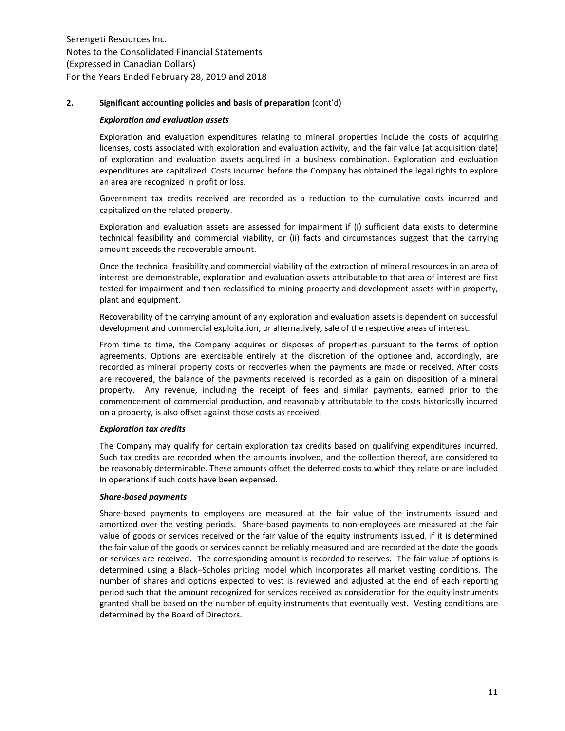#### *Exploration and evaluation assets*

Exploration and evaluation expenditures relating to mineral properties include the costs of acquiring licenses, costs associated with exploration and evaluation activity, and the fair value (at acquisition date) of exploration and evaluation assets acquired in a business combination. Exploration and evaluation expenditures are capitalized. Costs incurred before the Company has obtained the legal rights to explore an area are recognized in profit or loss.

Government tax credits received are recorded as a reduction to the cumulative costs incurred and capitalized on the related property.

Exploration and evaluation assets are assessed for impairment if (i) sufficient data exists to determine technical feasibility and commercial viability, or (ii) facts and circumstances suggest that the carrying amount exceeds the recoverable amount.

Once the technical feasibility and commercial viability of the extraction of mineral resources in an area of interest are demonstrable, exploration and evaluation assets attributable to that area of interest are first tested for impairment and then reclassified to mining property and development assets within property, plant and equipment.

Recoverability of the carrying amount of any exploration and evaluation assets is dependent on successful development and commercial exploitation, or alternatively, sale of the respective areas of interest.

From time to time, the Company acquires or disposes of properties pursuant to the terms of option agreements. Options are exercisable entirely at the discretion of the optionee and, accordingly, are recorded as mineral property costs or recoveries when the payments are made or received. After costs are recovered, the balance of the payments received is recorded as a gain on disposition of a mineral property. Any revenue, including the receipt of fees and similar payments, earned prior to the commencement of commercial production, and reasonably attributable to the costs historically incurred on a property, is also offset against those costs as received.

#### *Exploration tax credits*

The Company may qualify for certain exploration tax credits based on qualifying expenditures incurred. Such tax credits are recorded when the amounts involved, and the collection thereof, are considered to be reasonably determinable. These amounts offset the deferred costs to which they relate or are included in operations if such costs have been expensed.

#### *Share-based payments*

Share-based payments to employees are measured at the fair value of the instruments issued and amortized over the vesting periods. Share-based payments to non-employees are measured at the fair value of goods or services received or the fair value of the equity instruments issued, if it is determined the fair value of the goods or services cannot be reliably measured and are recorded at the date the goods or services are received. The corresponding amount is recorded to reserves. The fair value of options is determined using a Black–Scholes pricing model which incorporates all market vesting conditions. The number of shares and options expected to vest is reviewed and adjusted at the end of each reporting period such that the amount recognized for services received as consideration for the equity instruments granted shall be based on the number of equity instruments that eventually vest. Vesting conditions are determined by the Board of Directors.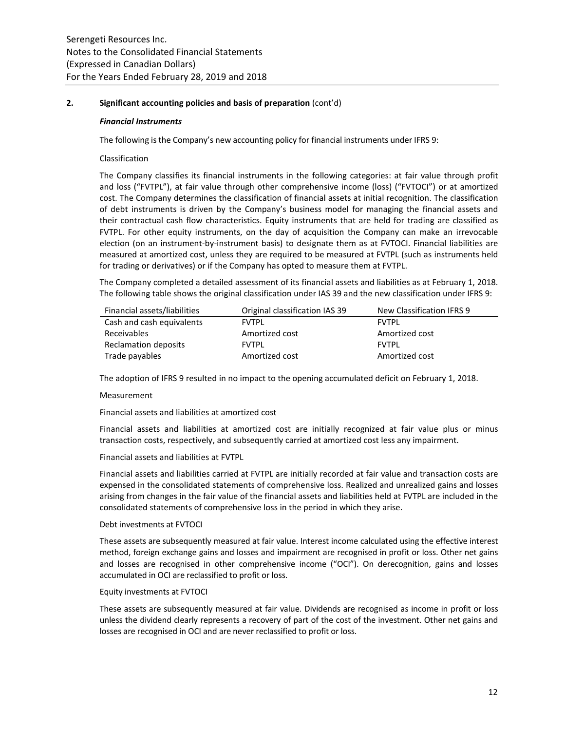#### *Financial Instruments*

The following is the Company's new accounting policy for financial instruments under IFRS 9:

#### Classification

The Company classifies its financial instruments in the following categories: at fair value through profit and loss ("FVTPL"), at fair value through other comprehensive income (loss) ("FVTOCI") or at amortized cost. The Company determines the classification of financial assets at initial recognition. The classification of debt instruments is driven by the Company's business model for managing the financial assets and their contractual cash flow characteristics. Equity instruments that are held for trading are classified as FVTPL. For other equity instruments, on the day of acquisition the Company can make an irrevocable election (on an instrument-by-instrument basis) to designate them as at FVTOCI. Financial liabilities are measured at amortized cost, unless they are required to be measured at FVTPL (such as instruments held for trading or derivatives) or if the Company has opted to measure them at FVTPL.

The Company completed a detailed assessment of its financial assets and liabilities as at February 1, 2018. The following table shows the original classification under IAS 39 and the new classification under IFRS 9:

| Original classification IAS 39 | New Classification IFRS 9 |
|--------------------------------|---------------------------|
| <b>FVTPL</b>                   | <b>FVTPL</b>              |
| Amortized cost                 | Amortized cost            |
| <b>FVTPL</b>                   | <b>FVTPL</b>              |
| Amortized cost                 | Amortized cost            |
|                                |                           |

The adoption of IFRS 9 resulted in no impact to the opening accumulated deficit on February 1, 2018.

#### Measurement

Financial assets and liabilities at amortized cost

Financial assets and liabilities at amortized cost are initially recognized at fair value plus or minus transaction costs, respectively, and subsequently carried at amortized cost less any impairment.

#### Financial assets and liabilities at FVTPL

Financial assets and liabilities carried at FVTPL are initially recorded at fair value and transaction costs are expensed in the consolidated statements of comprehensive loss. Realized and unrealized gains and losses arising from changes in the fair value of the financial assets and liabilities held at FVTPL are included in the consolidated statements of comprehensive loss in the period in which they arise.

#### Debt investments at FVTOCI

These assets are subsequently measured at fair value. Interest income calculated using the effective interest method, foreign exchange gains and losses and impairment are recognised in profit or loss. Other net gains and losses are recognised in other comprehensive income ("OCI"). On derecognition, gains and losses accumulated in OCI are reclassified to profit or loss.

#### Equity investments at FVTOCI

These assets are subsequently measured at fair value. Dividends are recognised as income in profit or loss unless the dividend clearly represents a recovery of part of the cost of the investment. Other net gains and losses are recognised in OCI and are never reclassified to profit or loss.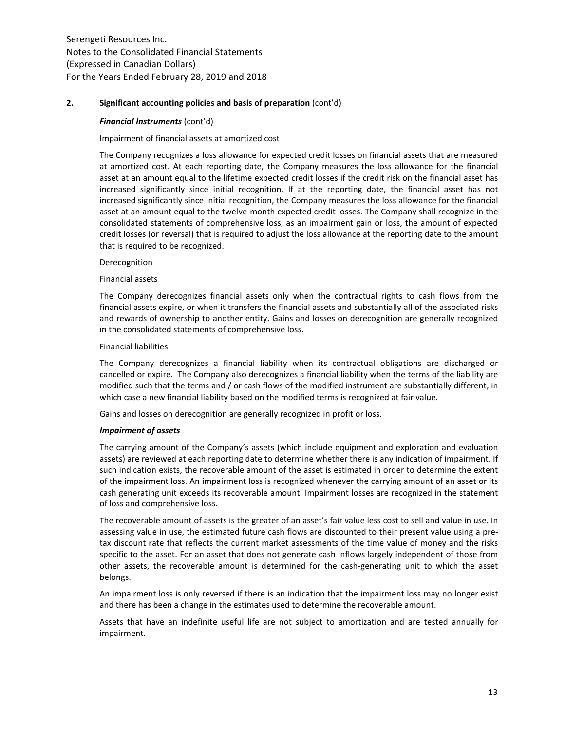#### *Financial Instruments* (cont'd)

### Impairment of financial assets at amortized cost

The Company recognizes a loss allowance for expected credit losses on financial assets that are measured at amortized cost. At each reporting date, the Company measures the loss allowance for the financial asset at an amount equal to the lifetime expected credit losses if the credit risk on the financial asset has increased significantly since initial recognition. If at the reporting date, the financial asset has not increased significantly since initial recognition, the Company measures the loss allowance for the financial asset at an amount equal to the twelve-month expected credit losses. The Company shall recognize in the consolidated statements of comprehensive loss, as an impairment gain or loss, the amount of expected credit losses (or reversal) that is required to adjust the loss allowance at the reporting date to the amount that is required to be recognized.

### Derecognition

### Financial assets

The Company derecognizes financial assets only when the contractual rights to cash flows from the financial assets expire, or when it transfers the financial assets and substantially all of the associated risks and rewards of ownership to another entity. Gains and losses on derecognition are generally recognized in the consolidated statements of comprehensive loss.

### Financial liabilities

The Company derecognizes a financial liability when its contractual obligations are discharged or cancelled or expire. The Company also derecognizes a financial liability when the terms of the liability are modified such that the terms and / or cash flows of the modified instrument are substantially different, in which case a new financial liability based on the modified terms is recognized at fair value.

Gains and losses on derecognition are generally recognized in profit or loss.

# *Impairment of assets*

The carrying amount of the Company's assets (which include equipment and exploration and evaluation assets) are reviewed at each reporting date to determine whether there is any indication of impairment. If such indication exists, the recoverable amount of the asset is estimated in order to determine the extent of the impairment loss. An impairment loss is recognized whenever the carrying amount of an asset or its cash generating unit exceeds its recoverable amount. Impairment losses are recognized in the statement of loss and comprehensive loss.

The recoverable amount of assets is the greater of an asset's fair value less cost to sell and value in use. In assessing value in use, the estimated future cash flows are discounted to their present value using a pretax discount rate that reflects the current market assessments of the time value of money and the risks specific to the asset. For an asset that does not generate cash inflows largely independent of those from other assets, the recoverable amount is determined for the cash-generating unit to which the asset belongs.

An impairment loss is only reversed if there is an indication that the impairment loss may no longer exist and there has been a change in the estimates used to determine the recoverable amount.

Assets that have an indefinite useful life are not subject to amortization and are tested annually for impairment.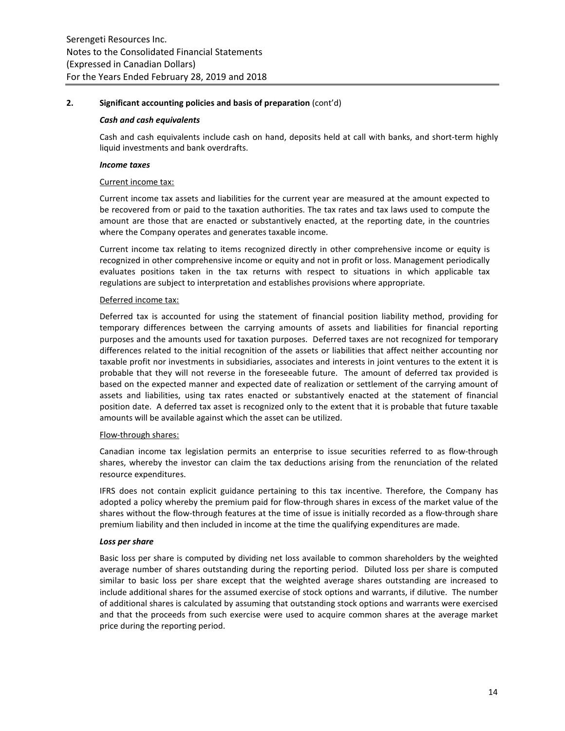#### *Cash and cash equivalents*

Cash and cash equivalents include cash on hand, deposits held at call with banks, and short-term highly liquid investments and bank overdrafts.

#### *Income taxes*

#### Current income tax:

Current income tax assets and liabilities for the current year are measured at the amount expected to be recovered from or paid to the taxation authorities. The tax rates and tax laws used to compute the amount are those that are enacted or substantively enacted, at the reporting date, in the countries where the Company operates and generates taxable income.

Current income tax relating to items recognized directly in other comprehensive income or equity is recognized in other comprehensive income or equity and not in profit or loss. Management periodically evaluates positions taken in the tax returns with respect to situations in which applicable tax regulations are subject to interpretation and establishes provisions where appropriate.

#### Deferred income tax:

Deferred tax is accounted for using the statement of financial position liability method, providing for temporary differences between the carrying amounts of assets and liabilities for financial reporting purposes and the amounts used for taxation purposes. Deferred taxes are not recognized for temporary differences related to the initial recognition of the assets or liabilities that affect neither accounting nor taxable profit nor investments in subsidiaries, associates and interests in joint ventures to the extent it is probable that they will not reverse in the foreseeable future. The amount of deferred tax provided is based on the expected manner and expected date of realization or settlement of the carrying amount of assets and liabilities, using tax rates enacted or substantively enacted at the statement of financial position date. A deferred tax asset is recognized only to the extent that it is probable that future taxable amounts will be available against which the asset can be utilized.

#### Flow-through shares:

Canadian income tax legislation permits an enterprise to issue securities referred to as flow-through shares, whereby the investor can claim the tax deductions arising from the renunciation of the related resource expenditures.

IFRS does not contain explicit guidance pertaining to this tax incentive. Therefore, the Company has adopted a policy whereby the premium paid for flow-through shares in excess of the market value of the shares without the flow-through features at the time of issue is initially recorded as a flow-through share premium liability and then included in income at the time the qualifying expenditures are made.

#### *Loss per share*

Basic loss per share is computed by dividing net loss available to common shareholders by the weighted average number of shares outstanding during the reporting period. Diluted loss per share is computed similar to basic loss per share except that the weighted average shares outstanding are increased to include additional shares for the assumed exercise of stock options and warrants, if dilutive. The number of additional shares is calculated by assuming that outstanding stock options and warrants were exercised and that the proceeds from such exercise were used to acquire common shares at the average market price during the reporting period.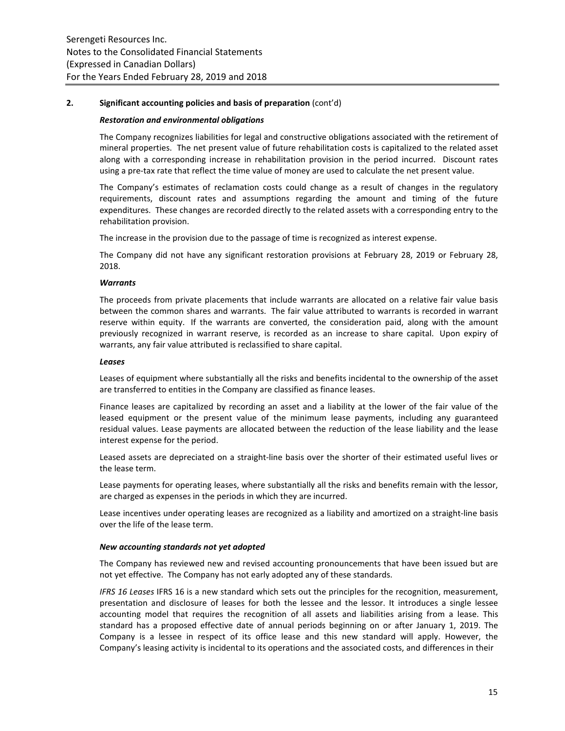#### *Restoration and environmental obligations*

The Company recognizes liabilities for legal and constructive obligations associated with the retirement of mineral properties. The net present value of future rehabilitation costs is capitalized to the related asset along with a corresponding increase in rehabilitation provision in the period incurred. Discount rates using a pre-tax rate that reflect the time value of money are used to calculate the net present value.

The Company's estimates of reclamation costs could change as a result of changes in the regulatory requirements, discount rates and assumptions regarding the amount and timing of the future expenditures. These changes are recorded directly to the related assets with a corresponding entry to the rehabilitation provision.

The increase in the provision due to the passage of time is recognized as interest expense.

The Company did not have any significant restoration provisions at February 28, 2019 or February 28, 2018.

#### *Warrants*

The proceeds from private placements that include warrants are allocated on a relative fair value basis between the common shares and warrants. The fair value attributed to warrants is recorded in warrant reserve within equity. If the warrants are converted, the consideration paid, along with the amount previously recognized in warrant reserve, is recorded as an increase to share capital. Upon expiry of warrants, any fair value attributed is reclassified to share capital.

#### *Leases*

Leases of equipment where substantially all the risks and benefits incidental to the ownership of the asset are transferred to entities in the Company are classified as finance leases.

Finance leases are capitalized by recording an asset and a liability at the lower of the fair value of the leased equipment or the present value of the minimum lease payments, including any guaranteed residual values. Lease payments are allocated between the reduction of the lease liability and the lease interest expense for the period.

Leased assets are depreciated on a straight-line basis over the shorter of their estimated useful lives or the lease term.

Lease payments for operating leases, where substantially all the risks and benefits remain with the lessor, are charged as expenses in the periods in which they are incurred.

Lease incentives under operating leases are recognized as a liability and amortized on a straight-line basis over the life of the lease term.

#### *New accounting standards not yet adopted*

The Company has reviewed new and revised accounting pronouncements that have been issued but are not yet effective. The Company has not early adopted any of these standards.

*IFRS 16 Leases* IFRS 16 is a new standard which sets out the principles for the recognition, measurement, presentation and disclosure of leases for both the lessee and the lessor. It introduces a single lessee accounting model that requires the recognition of all assets and liabilities arising from a lease. This standard has a proposed effective date of annual periods beginning on or after January 1, 2019. The Company is a lessee in respect of its office lease and this new standard will apply. However, the Company's leasing activity is incidental to its operations and the associated costs, and differences in their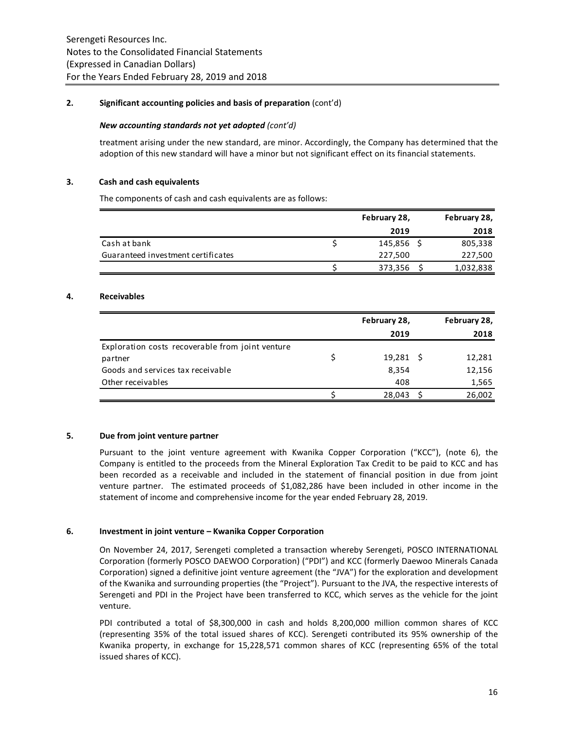### *New accounting standards not yet adopted (cont'd)*

treatment arising under the new standard, are minor. Accordingly, the Company has determined that the adoption of this new standard will have a minor but not significant effect on its financial statements.

### **3. Cash and cash equivalents**

The components of cash and cash equivalents are as follows:

|                                    | February 28, | February 28, |
|------------------------------------|--------------|--------------|
|                                    | 2019         | 2018         |
| Cash at bank                       | 145,856      | 805,338      |
| Guaranteed investment certificates | 227,500      | 227,500      |
|                                    | 373,356      | 1,032,838    |

### **4. Receivables**

|                                                  | February 28, |     | February 28, |
|--------------------------------------------------|--------------|-----|--------------|
|                                                  | 2019         |     | 2018         |
| Exploration costs recoverable from joint venture |              |     |              |
| partner                                          | 19,281       | - S | 12,281       |
| Goods and services tax receivable                | 8,354        |     | 12,156       |
| Other receivables                                | 408          |     | 1,565        |
|                                                  | 28,043       |     | 26,002       |

# **5. Due from joint venture partner**

Pursuant to the joint venture agreement with Kwanika Copper Corporation ("KCC"), (note 6), the Company is entitled to the proceeds from the Mineral Exploration Tax Credit to be paid to KCC and has been recorded as a receivable and included in the statement of financial position in due from joint venture partner. The estimated proceeds of \$1,082,286 have been included in other income in the statement of income and comprehensive income for the year ended February 28, 2019.

# **6. Investment in joint venture – Kwanika Copper Corporation**

On November 24, 2017, Serengeti completed a transaction whereby Serengeti, POSCO INTERNATIONAL Corporation (formerly POSCO DAEWOO Corporation) ("PDI") and KCC (formerly Daewoo Minerals Canada Corporation) signed a definitive joint venture agreement (the "JVA") for the exploration and development of the Kwanika and surrounding properties (the "Project"). Pursuant to the JVA, the respective interests of Serengeti and PDI in the Project have been transferred to KCC, which serves as the vehicle for the joint venture.

PDI contributed a total of \$8,300,000 in cash and holds 8,200,000 million common shares of KCC (representing 35% of the total issued shares of KCC). Serengeti contributed its 95% ownership of the Kwanika property, in exchange for 15,228,571 common shares of KCC (representing 65% of the total issued shares of KCC).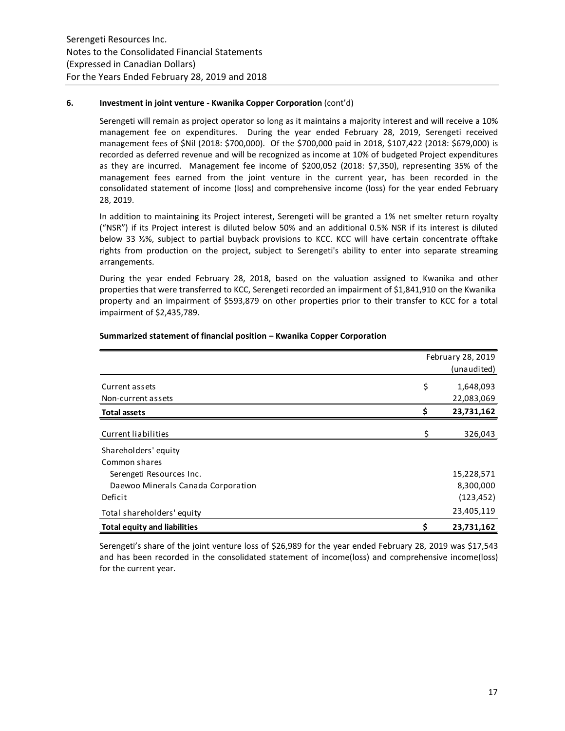### **6. Investment in joint venture - Kwanika Copper Corporation** (cont'd)

Serengeti will remain as project operator so long as it maintains a majority interest and will receive a 10% management fee on expenditures. During the year ended February 28, 2019, Serengeti received management fees of \$Nil (2018: \$700,000). Of the \$700,000 paid in 2018, \$107,422 (2018: \$679,000) is recorded as deferred revenue and will be recognized as income at 10% of budgeted Project expenditures as they are incurred. Management fee income of \$200,052 (2018: \$7,350), representing 35% of the management fees earned from the joint venture in the current year, has been recorded in the consolidated statement of income (loss) and comprehensive income (loss) for the year ended February 28, 2019.

In addition to maintaining its Project interest, Serengeti will be granted a 1% net smelter return royalty ("NSR") if its Project interest is diluted below 50% and an additional 0.5% NSR if its interest is diluted below 33 ⅓%, subject to partial buyback provisions to KCC. KCC will have certain concentrate offtake rights from production on the project, subject to Serengeti's ability to enter into separate streaming arrangements.

During the year ended February 28, 2018, based on the valuation assigned to Kwanika and other properties that were transferred to KCC, Serengeti recorded an impairment of \$1,841,910 on the Kwanika property and an impairment of \$593,879 on other properties prior to their transfer to KCC for a total impairment of \$2,435,789.

|                                     |    | February 28, 2019 |
|-------------------------------------|----|-------------------|
|                                     |    | (unaudited)       |
| Current assets                      | \$ | 1,648,093         |
| Non-current assets                  |    | 22,083,069        |
| <b>Total assets</b>                 | Ś  | 23,731,162        |
| Current liabilities                 | \$ | 326,043           |
| Shareholders' equity                |    |                   |
| Common shares                       |    |                   |
| Serengeti Resources Inc.            |    | 15,228,571        |
| Daewoo Minerals Canada Corporation  |    | 8,300,000         |
| Deficit                             |    | (123, 452)        |
| Total shareholders' equity          |    | 23,405,119        |
| <b>Total equity and liabilities</b> |    | 23,731,162        |

# **Summarized statement of financial position – Kwanika Copper Corporation**

Serengeti's share of the joint venture loss of \$26,989 for the year ended February 28, 2019 was \$17,543 and has been recorded in the consolidated statement of income(loss) and comprehensive income(loss) for the current year.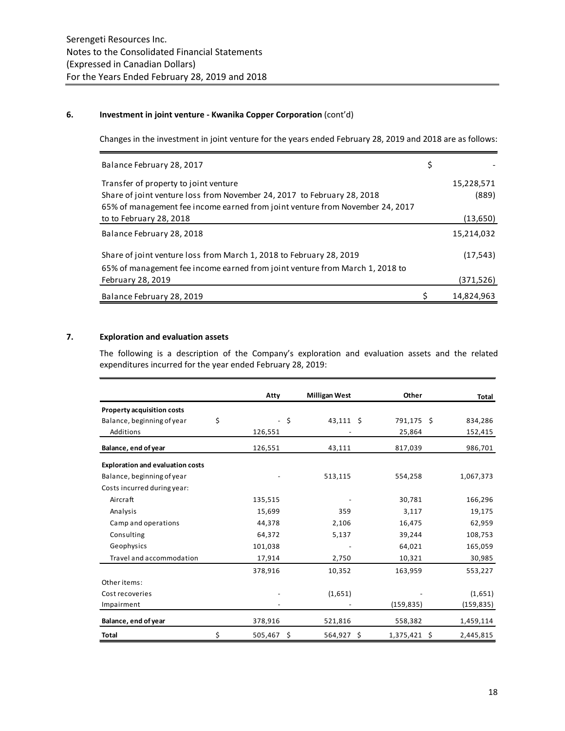# **6. Investment in joint venture - Kwanika Copper Corporation** (cont'd)

Changes in the investment in joint venture for the years ended February 28, 2019 and 2018 are as follows:

| Balance February 28, 2017                                                     | \$         |
|-------------------------------------------------------------------------------|------------|
| Transfer of property to joint venture                                         | 15,228,571 |
| Share of joint venture loss from November 24, 2017 to February 28, 2018       | (889)      |
| 65% of management fee income earned from joint venture from November 24, 2017 |            |
| to to February 28, 2018                                                       | (13,650)   |
| Balance February 28, 2018                                                     | 15,214,032 |
| Share of joint venture loss from March 1, 2018 to February 28, 2019           | (17, 543)  |
| 65% of management fee income earned from joint venture from March 1, 2018 to  |            |
| February 28, 2019                                                             | (371,526)  |
| Balance February 28, 2019                                                     | 14,824,963 |

# **7. Exploration and evaluation assets**

The following is a description of the Company's exploration and evaluation assets and the related expenditures incurred for the year ended February 28, 2019:

|                                         | Atty          |    | <b>Milligan West</b> | Other          |            |
|-----------------------------------------|---------------|----|----------------------|----------------|------------|
|                                         |               |    |                      |                | Total      |
| <b>Property acquisition costs</b>       |               |    |                      |                |            |
| Balance, beginning of year              | \$            | \$ | 43,111 \$            | 791,175 \$     | 834,286    |
| Additions                               | 126,551       |    |                      | 25,864         | 152,415    |
| Balance, end of year                    | 126,551       |    | 43,111               | 817,039        | 986,701    |
| <b>Exploration and evaluation costs</b> |               |    |                      |                |            |
| Balance, beginning of year              |               |    | 513,115              | 554,258        | 1,067,373  |
| Costs incurred during year:             |               |    |                      |                |            |
| Aircraft                                | 135,515       |    |                      | 30,781         | 166,296    |
| Analysis                                | 15,699        |    | 359                  | 3,117          | 19,175     |
| Camp and operations                     | 44,378        |    | 2,106                | 16,475         | 62,959     |
| Consulting                              | 64,372        |    | 5,137                | 39,244         | 108,753    |
| Geophysics                              | 101,038       |    |                      | 64,021         | 165,059    |
| Travel and accommodation                | 17,914        |    | 2,750                | 10,321         | 30,985     |
|                                         | 378,916       |    | 10,352               | 163,959        | 553,227    |
| Other items:                            |               |    |                      |                |            |
| Cost recoveries                         |               |    | (1,651)              |                | (1,651)    |
| Impairment                              |               |    |                      | (159, 835)     | (159, 835) |
| Balance, end of year                    | 378,916       |    | 521,816              | 558,382        | 1,459,114  |
| <b>Total</b>                            | \$<br>505,467 | Ŝ. | 564,927 \$           | $1,375,421$ \$ | 2,445,815  |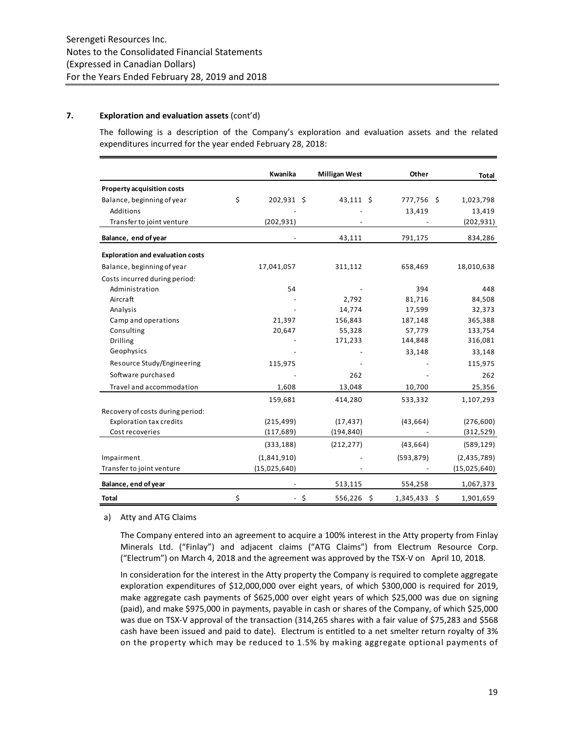# **7. Exploration and evaluation assets** (cont'd)

The following is a description of the Company's exploration and evaluation assets and the related expenditures incurred for the year ended February 28, 2018:

|                                         | Kwanika          | <b>Milligan West</b> | Other      | <b>Total</b>    |
|-----------------------------------------|------------------|----------------------|------------|-----------------|
| <b>Property acquisition costs</b>       |                  |                      |            |                 |
| Balance, beginning of year              | \$<br>202,931 \$ | $43,111$ \$          | 777,756 \$ | 1,023,798       |
| Additions                               |                  |                      | 13,419     | 13,419          |
| Transfer to joint venture               | (202, 931)       |                      |            | (202, 931)      |
| Balance, end of year                    |                  | 43,111               | 791,175    | 834,286         |
| <b>Exploration and evaluation costs</b> |                  |                      |            |                 |
| Balance, beginning of year              | 17,041,057       | 311,112              | 658,469    | 18,010,638      |
| Costs incurred during period:           |                  |                      |            |                 |
| Administration                          | 54               |                      | 394        | 448             |
| Aircraft                                |                  | 2,792                | 81,716     | 84,508          |
| Analysis                                |                  | 14,774               | 17,599     | 32,373          |
| Camp and operations                     | 21,397           | 156,843              | 187,148    | 365,388         |
| Consulting                              | 20,647           | 55,328               | 57,779     | 133,754         |
| Drilling                                |                  | 171,233              | 144,848    | 316,081         |
| Geophysics                              |                  |                      | 33,148     | 33,148          |
| Resource Study/Engineering              | 115,975          |                      |            | 115,975         |
| Software purchased                      |                  | 262                  |            | 262             |
| Travel and accommodation                | 1,608            | 13,048               | 10,700     | 25,356          |
|                                         | 159,681          | 414,280              | 533,332    | 1,107,293       |
| Recovery of costs during period:        |                  |                      |            |                 |
| <b>Exploration tax credits</b>          | (215, 499)       | (17, 437)            | (43, 664)  | (276, 600)      |
| Cost recoveries                         | (117, 689)       | (194, 840)           |            | (312, 529)      |
|                                         | (333, 188)       | (212, 277)           | (43, 664)  | (589, 129)      |
| Impairment                              | (1,841,910)      |                      | (593, 879) | (2,435,789)     |
| Transfer to joint venture               | (15,025,640)     |                      |            | (15,025,640)    |
| Balance, end of year                    |                  | 513,115              | 554,258    | 1,067,373       |
| Total                                   | \$<br>\$         | 556,226 \$           | 1,345,433  | \$<br>1,901,659 |

# a) Atty and ATG Claims

The Company entered into an agreement to acquire a 100% interest in the Atty property from Finlay Minerals Ltd. ("Finlay") and adjacent claims ("ATG Claims") from Electrum Resource Corp. ("Electrum") on March 4, 2018 and the agreement was approved by the TSX-V on April 10, 2018.

In consideration for the interest in the Atty property the Company is required to complete aggregate exploration expenditures of \$12,000,000 over eight years, of which \$300,000 is required for 2019, make aggregate cash payments of \$625,000 over eight years of which \$25,000 was due on signing (paid), and make \$975,000 in payments, payable in cash or shares of the Company, of which \$25,000 was due on TSX-V approval of the transaction (314,265 shares with a fair value of \$75,283 and \$568 cash have been issued and paid to date). Electrum is entitled to a net smelter return royalty of 3% on the property which may be reduced to 1.5% by making aggregate optional payments of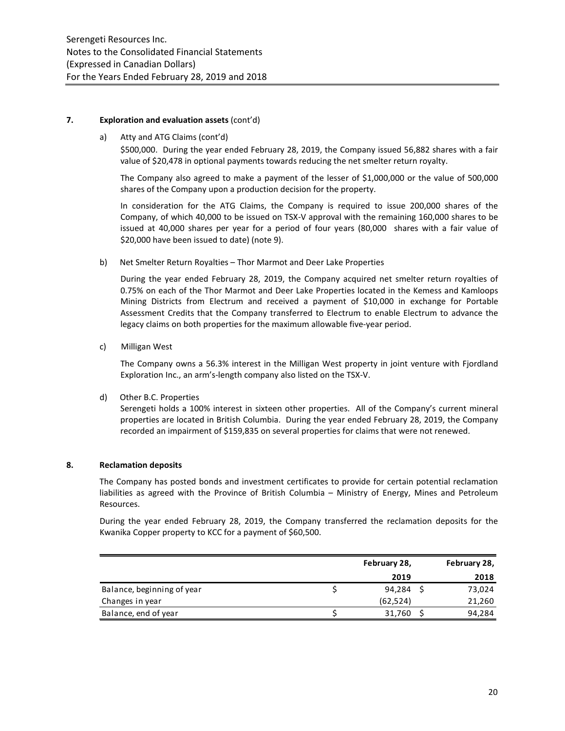# **7. Exploration and evaluation assets** (cont'd)

a) Atty and ATG Claims (cont'd)

\$500,000. During the year ended February 28, 2019, the Company issued 56,882 shares with a fair value of \$20,478 in optional payments towards reducing the net smelter return royalty.

The Company also agreed to make a payment of the lesser of \$1,000,000 or the value of 500,000 shares of the Company upon a production decision for the property.

In consideration for the ATG Claims, the Company is required to issue 200,000 shares of the Company, of which 40,000 to be issued on TSX-V approval with the remaining 160,000 shares to be issued at 40,000 shares per year for a period of four years (80,000 shares with a fair value of \$20,000 have been issued to date) (note 9).

b) Net Smelter Return Royalties – Thor Marmot and Deer Lake Properties

During the year ended February 28, 2019, the Company acquired net smelter return royalties of 0.75% on each of the Thor Marmot and Deer Lake Properties located in the Kemess and Kamloops Mining Districts from Electrum and received a payment of \$10,000 in exchange for Portable Assessment Credits that the Company transferred to Electrum to enable Electrum to advance the legacy claims on both properties for the maximum allowable five-year period.

c) Milligan West

The Company owns a 56.3% interest in the Milligan West property in joint venture with Fjordland Exploration Inc., an arm's-length company also listed on the TSX-V.

d) Other B.C. Properties

Serengeti holds a 100% interest in sixteen other properties. All of the Company's current mineral properties are located in British Columbia. During the year ended February 28, 2019, the Company recorded an impairment of \$159,835 on several properties for claims that were not renewed.

# **8. Reclamation deposits**

The Company has posted bonds and investment certificates to provide for certain potential reclamation liabilities as agreed with the Province of British Columbia – Ministry of Energy, Mines and Petroleum Resources.

During the year ended February 28, 2019, the Company transferred the reclamation deposits for the Kwanika Copper property to KCC for a payment of \$60,500.

|                            | February 28, |           |  | February 28, |
|----------------------------|--------------|-----------|--|--------------|
|                            |              | 2019      |  | 2018         |
| Balance, beginning of year |              | 94,284    |  | 73,024       |
| Changes in year            |              | (62, 524) |  | 21,260       |
| Balance, end of year       |              | 31,760    |  | 94,284       |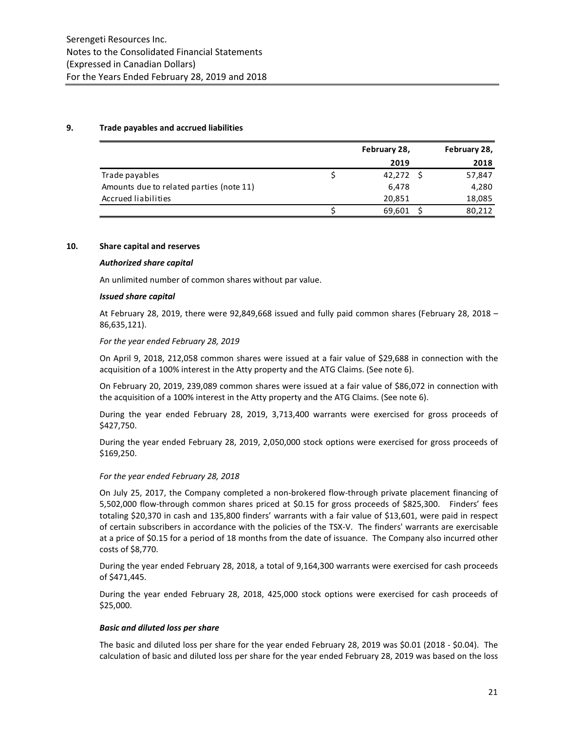# **9. Trade payables and accrued liabilities**

|                                          | February 28, |  |        |
|------------------------------------------|--------------|--|--------|
|                                          | 2019         |  | 2018   |
| Trade payables                           | $42,272$ \$  |  | 57,847 |
| Amounts due to related parties (note 11) | 6,478        |  | 4,280  |
| Accrued liabilities                      | 20,851       |  | 18,085 |
|                                          | 69,601       |  | 80,212 |

### **10. Share capital and reserves**

### *Authorized share capital*

An unlimited number of common shares without par value.

#### *Issued share capital*

At February 28, 2019, there were 92,849,668 issued and fully paid common shares (February 28, 2018 – 86,635,121).

### *For the year ended February 28, 2019*

On April 9, 2018, 212,058 common shares were issued at a fair value of \$29,688 in connection with the acquisition of a 100% interest in the Atty property and the ATG Claims. (See note 6).

On February 20, 2019, 239,089 common shares were issued at a fair value of \$86,072 in connection with the acquisition of a 100% interest in the Atty property and the ATG Claims. (See note 6).

During the year ended February 28, 2019, 3,713,400 warrants were exercised for gross proceeds of \$427,750.

During the year ended February 28, 2019, 2,050,000 stock options were exercised for gross proceeds of \$169,250.

#### *For the year ended February 28, 2018*

On July 25, 2017, the Company completed a non-brokered flow-through private placement financing of 5,502,000 flow-through common shares priced at \$0.15 for gross proceeds of \$825,300. Finders' fees totaling \$20,370 in cash and 135,800 finders' warrants with a fair value of \$13,601, were paid in respect of certain subscribers in accordance with the policies of the TSX-V. The finders' warrants are exercisable at a price of \$0.15 for a period of 18 months from the date of issuance. The Company also incurred other costs of \$8,770.

During the year ended February 28, 2018, a total of 9,164,300 warrants were exercised for cash proceeds of \$471,445.

During the year ended February 28, 2018, 425,000 stock options were exercised for cash proceeds of \$25,000.

#### *Basic and diluted loss per share*

The basic and diluted loss per share for the year ended February 28, 2019 was \$0.01 (2018 - \$0.04). The calculation of basic and diluted loss per share for the year ended February 28, 2019 was based on the loss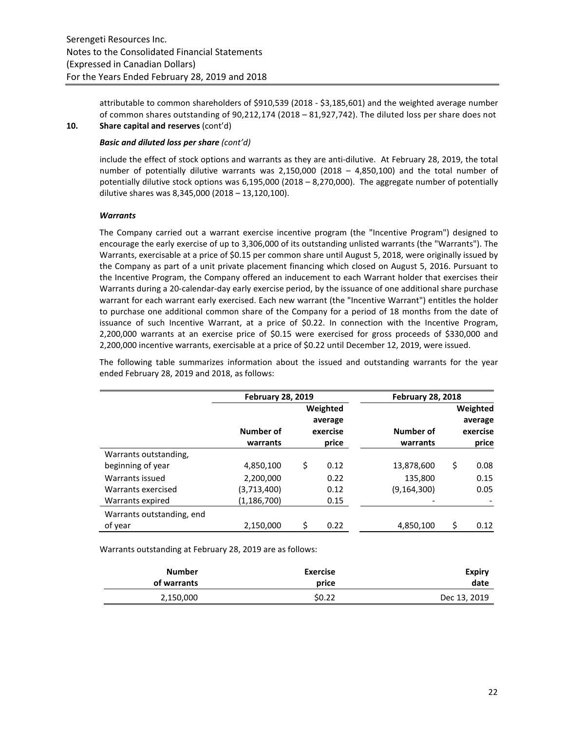attributable to common shareholders of \$910,539 (2018 - \$3,185,601) and the weighted average number of common shares outstanding of 90,212,174 (2018 – 81,927,742). The diluted loss per share does not **10. Share capital and reserves** (cont'd)

# *Basic and diluted loss per share (cont'd)*

include the effect of stock options and warrants as they are anti-dilutive. At February 28, 2019, the total number of potentially dilutive warrants was 2,150,000 (2018 – 4,850,100) and the total number of potentially dilutive stock options was 6,195,000 (2018 – 8,270,000). The aggregate number of potentially dilutive shares was 8,345,000 (2018 – 13,120,100).

# *Warrants*

The Company carried out a warrant exercise incentive program (the "Incentive Program") designed to encourage the early exercise of up to 3,306,000 of its outstanding unlisted warrants (the "Warrants"). The Warrants, exercisable at a price of \$0.15 per common share until August 5, 2018, were originally issued by the Company as part of a unit private placement financing which closed on August 5, 2016. Pursuant to the Incentive Program, the Company offered an inducement to each Warrant holder that exercises their Warrants during a 20-calendar-day early exercise period, by the issuance of one additional share purchase warrant for each warrant early exercised. Each new warrant (the "Incentive Warrant") entitles the holder to purchase one additional common share of the Company for a period of 18 months from the date of issuance of such Incentive Warrant, at a price of \$0.22. In connection with the Incentive Program, 2,200,000 warrants at an exercise price of \$0.15 were exercised for gross proceeds of \$330,000 and 2,200,000 incentive warrants, exercisable at a price of \$0.22 until December 12, 2019, were issued.

The following table summarizes information about the issued and outstanding warrants for the year ended February 28, 2019 and 2018, as follows:

|                           | <b>February 28, 2019</b> |    | <b>February 28, 2018</b> |               |    |          |
|---------------------------|--------------------------|----|--------------------------|---------------|----|----------|
|                           |                          |    | Weighted                 |               |    | Weighted |
|                           |                          |    | average                  |               |    | average  |
|                           | Number of                |    | exercise                 | Number of     |    | exercise |
|                           | warrants                 |    | price                    | warrants      |    | price    |
| Warrants outstanding,     |                          |    |                          |               |    |          |
| beginning of year         | 4,850,100                | \$ | 0.12                     | 13,878,600    | \$ | 0.08     |
| Warrants issued           | 2,200,000                |    | 0.22                     | 135,800       |    | 0.15     |
| Warrants exercised        | (3,713,400)              |    | 0.12                     | (9, 164, 300) |    | 0.05     |
| Warrants expired          | (1,186,700)              |    | 0.15                     |               |    |          |
| Warrants outstanding, end |                          |    |                          |               |    |          |
| of year                   | 2,150,000                | Ś  | 0.22                     | 4,850,100     | Ś  | 0.12     |

Warrants outstanding at February 28, 2019 are as follows:

| <b>Number</b> | <b>Exercise</b> | Expiry       |
|---------------|-----------------|--------------|
| of warrants   | price           | date         |
| 2,150,000     | \$0.22          | Dec 13, 2019 |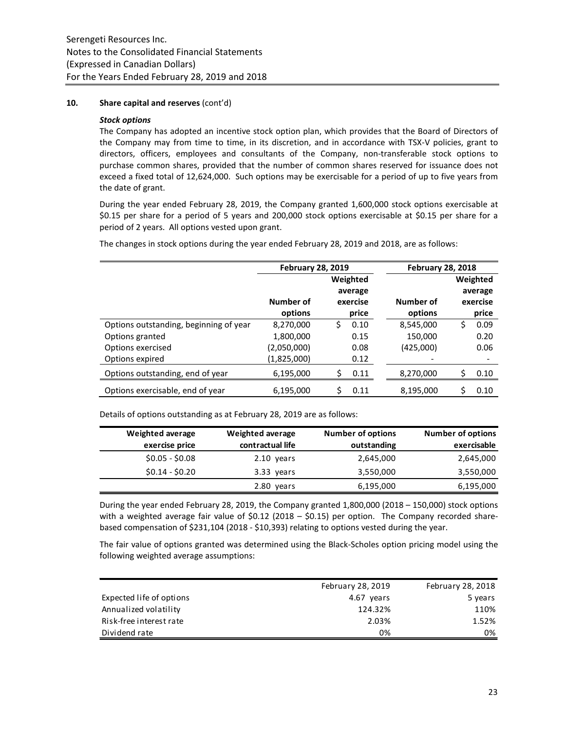# **10. Share capital and reserves** (cont'd)

#### *Stock options*

The Company has adopted an incentive stock option plan, which provides that the Board of Directors of the Company may from time to time, in its discretion, and in accordance with TSX-V policies, grant to directors, officers, employees and consultants of the Company, non-transferable stock options to purchase common shares, provided that the number of common shares reserved for issuance does not exceed a fixed total of 12,624,000. Such options may be exercisable for a period of up to five years from the date of grant.

During the year ended February 28, 2019, the Company granted 1,600,000 stock options exercisable at \$0.15 per share for a period of 5 years and 200,000 stock options exercisable at \$0.15 per share for a period of 2 years. All options vested upon grant.

The changes in stock options during the year ended February 28, 2019 and 2018, are as follows:

|                                        | <b>February 28, 2019</b> |    |          | <b>February 28, 2018</b> |    |          |  |
|----------------------------------------|--------------------------|----|----------|--------------------------|----|----------|--|
|                                        |                          |    | Weighted |                          |    | Weighted |  |
|                                        |                          |    | average  |                          |    | average  |  |
|                                        | Number of                |    | exercise | Number of                |    | exercise |  |
|                                        | options                  |    | price    | options                  |    | price    |  |
| Options outstanding, beginning of year | 8,270,000                | \$ | 0.10     | 8,545,000                | \$ | 0.09     |  |
| Options granted                        | 1,800,000                |    | 0.15     | 150,000                  |    | 0.20     |  |
| Options exercised                      | (2,050,000)              |    | 0.08     | (425,000)                |    | 0.06     |  |
| Options expired                        | (1,825,000)              |    | 0.12     |                          |    |          |  |
| Options outstanding, end of year       | 6,195,000                | Ś. | 0.11     | 8,270,000                | Š. | 0.10     |  |
| Options exercisable, end of year       | 6,195,000                | S  | 0.11     | 8,195,000                | Ś  | 0.10     |  |

Details of options outstanding as at February 28, 2019 are as follows:

| Weighted average | Weighted average | <b>Number of options</b> | <b>Number of options</b> |
|------------------|------------------|--------------------------|--------------------------|
| exercise price   | contractual life | outstanding              | exercisable              |
| $$0.05 - $0.08$  | 2.10 years       | 2,645,000                | 2,645,000                |
| $$0.14 - $0.20$  | 3.33 years       | 3,550,000                | 3,550,000                |
|                  | 2.80 years       | 6,195,000                | 6,195,000                |

During the year ended February 28, 2019, the Company granted 1,800,000 (2018 – 150,000) stock options with a weighted average fair value of  $$0.12$  (2018 –  $$0.15$ ) per option. The Company recorded sharebased compensation of \$231,104 (2018 - \$10,393) relating to options vested during the year.

The fair value of options granted was determined using the Black-Scholes option pricing model using the following weighted average assumptions:

|                          | February 28, 2019 | February 28, 2018 |
|--------------------------|-------------------|-------------------|
| Expected life of options | 4.67 years        | 5 years           |
|                          |                   |                   |
| Annualized volatility    | 124.32%           | 110%              |
| Risk-free interest rate  | 2.03%             | 1.52%             |
| Dividend rate            | 0%                | 0%                |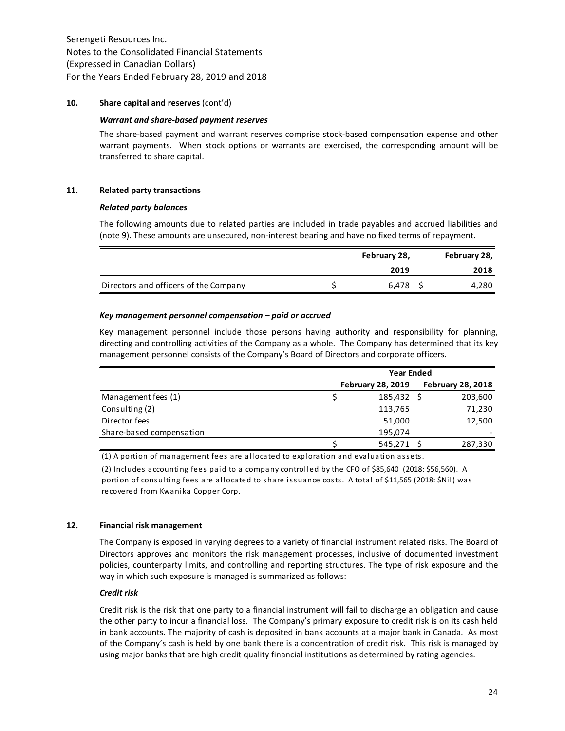# **10. Share capital and reserves** (cont'd)

#### *Warrant and share-based payment reserves*

The share-based payment and warrant reserves comprise stock-based compensation expense and other warrant payments. When stock options or warrants are exercised, the corresponding amount will be transferred to share capital.

#### **11. Related party transactions**

#### *Related party balances*

The following amounts due to related parties are included in trade payables and accrued liabilities and (note 9). These amounts are unsecured, non-interest bearing and have no fixed terms of repayment.

|                                       | February 28, |  | February 28, |
|---------------------------------------|--------------|--|--------------|
|                                       | 2019         |  | 2018         |
| Directors and officers of the Company | 6.478        |  | 4,280        |

#### *Key management personnel compensation – paid or accrued*

Key management personnel include those persons having authority and responsibility for planning, directing and controlling activities of the Company as a whole. The Company has determined that its key management personnel consists of the Company's Board of Directors and corporate officers.

|                          | <b>Year Ended</b> |                          |                          |  |
|--------------------------|-------------------|--------------------------|--------------------------|--|
|                          |                   | <b>February 28, 2019</b> | <b>February 28, 2018</b> |  |
| Management fees (1)      |                   | 185,432 \$               | 203,600                  |  |
| Consulting (2)           |                   | 113,765                  | 71,230                   |  |
| Director fees            |                   | 51,000                   | 12,500                   |  |
| Share-based compensation |                   | 195,074                  |                          |  |
|                          |                   | 545,271                  | 287,330                  |  |

(1) A portion of management fees are allocated to exploration and evaluation assets.

(2) Includes accounting fees paid to a company controlled by the CFO of \$85,640 (2018: \$56,560). A portion of consulting fees are allocated to share issuance costs. A total of \$11,565 (2018: \$Nil) was recovered from Kwanika Copper Corp.

#### **12. Financial risk management**

The Company is exposed in varying degrees to a variety of financial instrument related risks. The Board of Directors approves and monitors the risk management processes, inclusive of documented investment policies, counterparty limits, and controlling and reporting structures. The type of risk exposure and the way in which such exposure is managed is summarized as follows:

# *Credit risk*

Credit risk is the risk that one party to a financial instrument will fail to discharge an obligation and cause the other party to incur a financial loss. The Company's primary exposure to credit risk is on its cash held in bank accounts. The majority of cash is deposited in bank accounts at a major bank in Canada. As most of the Company's cash is held by one bank there is a concentration of credit risk. This risk is managed by using major banks that are high credit quality financial institutions as determined by rating agencies.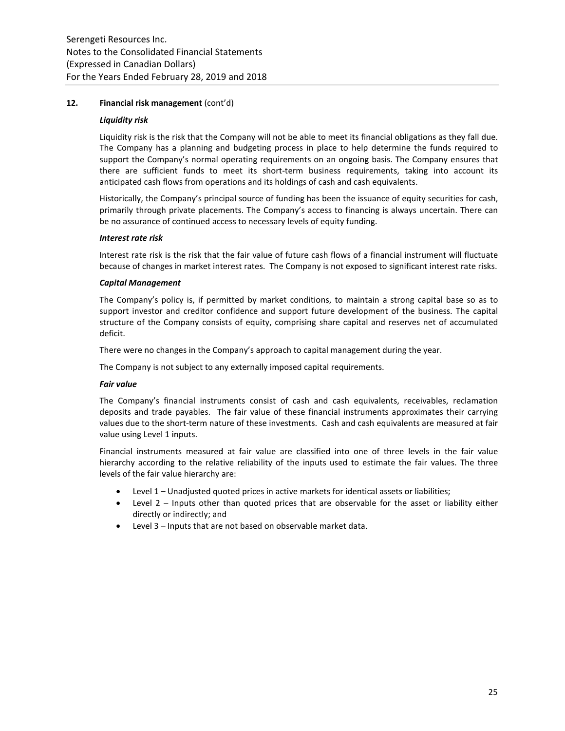# **12. Financial risk management** (cont'd)

#### *Liquidity risk*

Liquidity risk is the risk that the Company will not be able to meet its financial obligations as they fall due. The Company has a planning and budgeting process in place to help determine the funds required to support the Company's normal operating requirements on an ongoing basis. The Company ensures that there are sufficient funds to meet its short-term business requirements, taking into account its anticipated cash flows from operations and its holdings of cash and cash equivalents.

Historically, the Company's principal source of funding has been the issuance of equity securities for cash, primarily through private placements. The Company's access to financing is always uncertain. There can be no assurance of continued access to necessary levels of equity funding.

#### *Interest rate risk*

Interest rate risk is the risk that the fair value of future cash flows of a financial instrument will fluctuate because of changes in market interest rates. The Company is not exposed to significant interest rate risks.

### *Capital Management*

The Company's policy is, if permitted by market conditions, to maintain a strong capital base so as to support investor and creditor confidence and support future development of the business. The capital structure of the Company consists of equity, comprising share capital and reserves net of accumulated deficit.

There were no changes in the Company's approach to capital management during the year.

The Company is not subject to any externally imposed capital requirements.

#### *Fair value*

The Company's financial instruments consist of cash and cash equivalents, receivables, reclamation deposits and trade payables. The fair value of these financial instruments approximates their carrying values due to the short-term nature of these investments. Cash and cash equivalents are measured at fair value using Level 1 inputs.

Financial instruments measured at fair value are classified into one of three levels in the fair value hierarchy according to the relative reliability of the inputs used to estimate the fair values. The three levels of the fair value hierarchy are:

- Level 1 Unadjusted quoted prices in active markets for identical assets or liabilities;
- Level 2 Inputs other than quoted prices that are observable for the asset or liability either directly or indirectly; and
- Level 3 Inputs that are not based on observable market data.